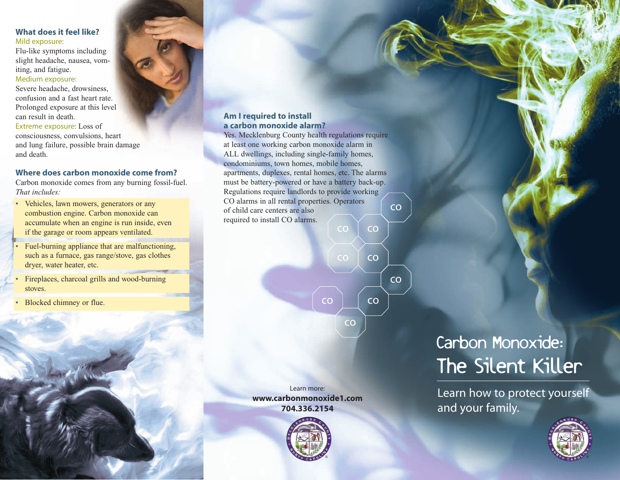## **What does it feel like?** Mild exposure:

Flu-like symptoms including slight headache, nausea, vomiting, and fatigue.

Medium exposure:

Severe headache, drowsiness, confusion and a fast heart rate. Prolonged exposure at this level can result in death.

Extreme exposure: Loss of consciousness, convulsions, heart and lung failure, possible brain damage and death.

# **Where does carbon monoxide come from?**

Carbon monoxide comes from any burning fossil-fuel. *That includes:*

- Vehicles, lawn mowers, generators or any combustion engine. Carbon monoxide can accumulate when an engine is run inside, even if the garage or room appears ventilated.
- Fuel-burning appliance that are malfunctioning, such as a furnace, gas range/stove, gas clothes dryer, water heater, etc.
- Fireplaces, charcoal grills and wood-burning stoves.
- Blocked chimney or flue.

### **Am I required to install a carbon monoxide alarm?**

co Yes. Mecklenburg County health regulations require at least one working carbon monoxide alarm in ALL dwellings, including single-family homes, condominiums, town homes, mobile homes, apartments, duplexes, rental homes, etc. The alarms must be battery-powered or have a battery back-up. Regulations require landlords to provide working CO alarms in all rental properties. Operators of child care centers are also required to install CO alarms.



Learn more: **www.carbonmonoxide1.com 704.336.2154**



# Carbon Monoxide: The Silent Killer

Learn how to protect yourself and your family.